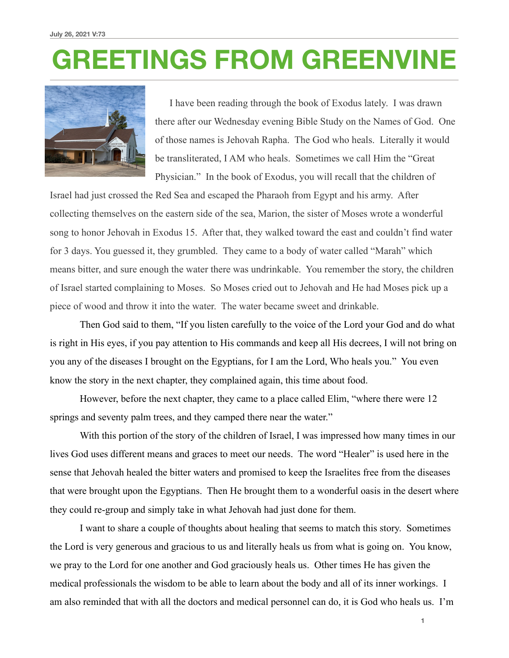# **GREETINGS FROM GREENVINE**



 I have been reading through the book of Exodus lately. I was drawn there after our Wednesday evening Bible Study on the Names of God. One of those names is Jehovah Rapha. The God who heals. Literally it would be transliterated, I AM who heals. Sometimes we call Him the "Great Physician." In the book of Exodus, you will recall that the children of

Israel had just crossed the Red Sea and escaped the Pharaoh from Egypt and his army. After collecting themselves on the eastern side of the sea, Marion, the sister of Moses wrote a wonderful song to honor Jehovah in Exodus 15. After that, they walked toward the east and couldn't find water for 3 days. You guessed it, they grumbled. They came to a body of water called "Marah" which means bitter, and sure enough the water there was undrinkable. You remember the story, the children of Israel started complaining to Moses. So Moses cried out to Jehovah and He had Moses pick up a piece of wood and throw it into the water. The water became sweet and drinkable.

 Then God said to them, "If you listen carefully to the voice of the Lord your God and do what is right in His eyes, if you pay attention to His commands and keep all His decrees, I will not bring on you any of the diseases I brought on the Egyptians, for I am the Lord, Who heals you." You even know the story in the next chapter, they complained again, this time about food.

 However, before the next chapter, they came to a place called Elim, "where there were 12 springs and seventy palm trees, and they camped there near the water."

 With this portion of the story of the children of Israel, I was impressed how many times in our lives God uses different means and graces to meet our needs. The word "Healer" is used here in the sense that Jehovah healed the bitter waters and promised to keep the Israelites free from the diseases that were brought upon the Egyptians. Then He brought them to a wonderful oasis in the desert where they could re-group and simply take in what Jehovah had just done for them.

 I want to share a couple of thoughts about healing that seems to match this story. Sometimes the Lord is very generous and gracious to us and literally heals us from what is going on. You know, we pray to the Lord for one another and God graciously heals us. Other times He has given the medical professionals the wisdom to be able to learn about the body and all of its inner workings. I am also reminded that with all the doctors and medical personnel can do, it is God who heals us. I'm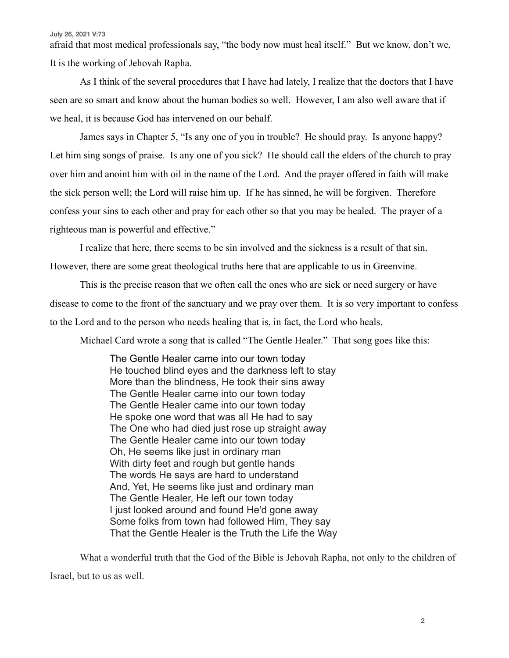#### **July 26, 2021 V:73**

afraid that most medical professionals say, "the body now must heal itself." But we know, don't we, It is the working of Jehovah Rapha.

 As I think of the several procedures that I have had lately, I realize that the doctors that I have seen are so smart and know about the human bodies so well. However, I am also well aware that if we heal, it is because God has intervened on our behalf.

 James says in Chapter 5, "Is any one of you in trouble? He should pray. Is anyone happy? Let him sing songs of praise. Is any one of you sick? He should call the elders of the church to pray over him and anoint him with oil in the name of the Lord. And the prayer offered in faith will make the sick person well; the Lord will raise him up. If he has sinned, he will be forgiven. Therefore confess your sins to each other and pray for each other so that you may be healed. The prayer of a righteous man is powerful and effective."

I realize that here, there seems to be sin involved and the sickness is a result of that sin.

However, there are some great theological truths here that are applicable to us in Greenvine.

 This is the precise reason that we often call the ones who are sick or need surgery or have disease to come to the front of the sanctuary and we pray over them. It is so very important to confess to the Lord and to the person who needs healing that is, in fact, the Lord who heals.

Michael Card wrote a song that is called "The Gentle Healer." That song goes like this:

 The Gentle Healer came into our town today He touched blind eyes and the darkness left to stay More than the blindness, He took their sins away The Gentle Healer came into our town today The Gentle Healer came into our town today He spoke one word that was all He had to say The One who had died just rose up straight away The Gentle Healer came into our town today Oh, He seems like just in ordinary man With dirty feet and rough but gentle hands The words He says are hard to understand And, Yet, He seems like just and ordinary man The Gentle Healer, He left our town today I just looked around and found He'd gone away Some folks from town had followed Him, They say That the Gentle Healer is the Truth the Life the Way

 What a wonderful truth that the God of the Bible is Jehovah Rapha, not only to the children of Israel, but to us as well.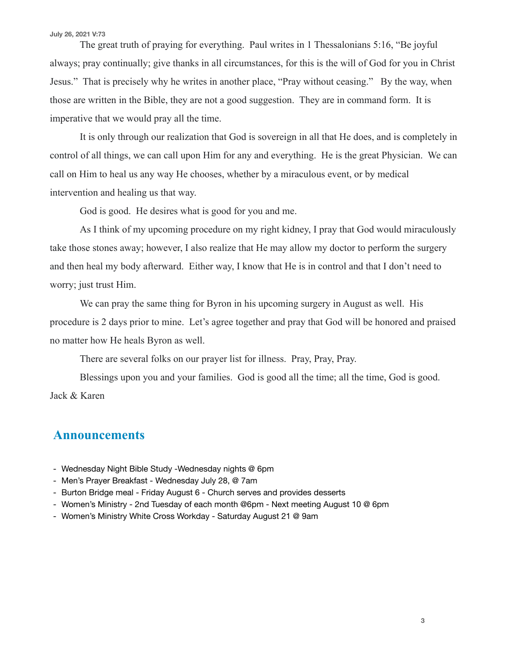#### **July 26, 2021 V:73**

 The great truth of praying for everything. Paul writes in 1 Thessalonians 5:16, "Be joyful always; pray continually; give thanks in all circumstances, for this is the will of God for you in Christ Jesus." That is precisely why he writes in another place, "Pray without ceasing." By the way, when those are written in the Bible, they are not a good suggestion. They are in command form. It is imperative that we would pray all the time.

 It is only through our realization that God is sovereign in all that He does, and is completely in control of all things, we can call upon Him for any and everything. He is the great Physician. We can call on Him to heal us any way He chooses, whether by a miraculous event, or by medical intervention and healing us that way.

God is good. He desires what is good for you and me.

 As I think of my upcoming procedure on my right kidney, I pray that God would miraculously take those stones away; however, I also realize that He may allow my doctor to perform the surgery and then heal my body afterward. Either way, I know that He is in control and that I don't need to worry; just trust Him.

 We can pray the same thing for Byron in his upcoming surgery in August as well. His procedure is 2 days prior to mine. Let's agree together and pray that God will be honored and praised no matter how He heals Byron as well.

There are several folks on our prayer list for illness. Pray, Pray, Pray.

 Blessings upon you and your families. God is good all the time; all the time, God is good. Jack & Karen

### **Announcements**

- Wednesday Night Bible Study -Wednesday nights @ 6pm
- Men's Prayer Breakfast Wednesday July 28, @ 7am
- Burton Bridge meal Friday August 6 Church serves and provides desserts
- Women's Ministry 2nd Tuesday of each month @6pm Next meeting August 10 @ 6pm
- Women's Ministry White Cross Workday Saturday August 21 @ 9am